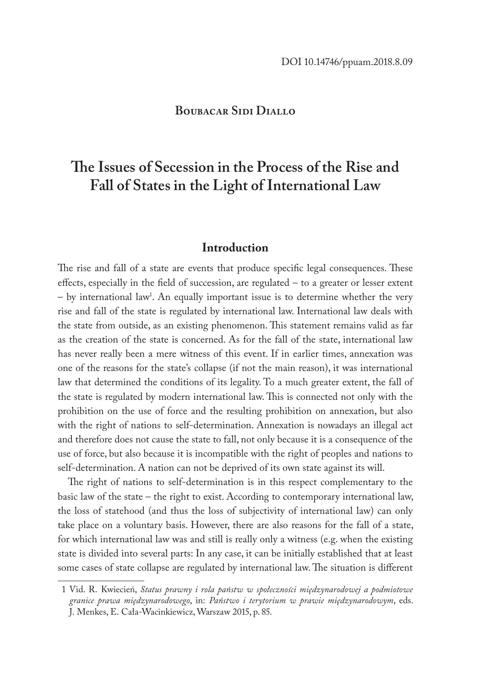## **Boubacar Sidi Diallo**

# **The Issues of Secession in the Process of the Rise and Fall of States in the Light of International Law**

#### **Introduction**

The rise and fall of a state are events that produce specific legal consequences. These effects, especially in the field of succession, are regulated – to a greater or lesser extent – by international law<sup>1</sup>. An equally important issue is to determine whether the very rise and fall of the state is regulated by international law. International law deals with the state from outside, as an existing phenomenon. This statement remains valid as far as the creation of the state is concerned. As for the fall of the state, international law has never really been a mere witness of this event. If in earlier times, annexation was one of the reasons for the state's collapse (if not the main reason), it was international law that determined the conditions of its legality. To a much greater extent, the fall of the state is regulated by modern international law. This is connected not only with the prohibition on the use of force and the resulting prohibition on annexation, but also with the right of nations to self-determination. Annexation is nowadays an illegal act and therefore does not cause the state to fall, not only because it is a consequence of the use of force, but also because it is incompatible with the right of peoples and nations to self-determination. A nation can not be deprived of its own state against its will.

The right of nations to self-determination is in this respect complementary to the basic law of the state – the right to exist. According to contemporary international law, the loss of statehood (and thus the loss of subjectivity of international law) can only take place on a voluntary basis. However, there are also reasons for the fall of a state, for which international law was and still is really only a witness (e.g. when the existing state is divided into several parts: In any case, it can be initially established that at least some cases of state collapse are regulated by international law. The situation is different

<sup>1</sup> Vid. R. Kwiecień, *Status prawny i rola państw w społeczności międzynarodowej a podmiotowe granice prawa międzynarodowego*, in: *Państwo i terytorium w prawie międzynarodowym*, eds. J. Menkes, E. Cała-Wacinkiewicz, Warszaw 2015, p. 85.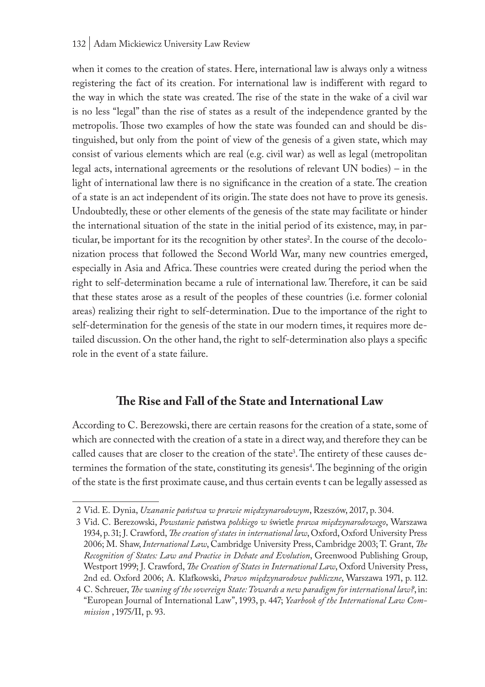#### 132 | Adam Mickiewicz University Law Review

when it comes to the creation of states. Here, international law is always only a witness registering the fact of its creation. For international law is indifferent with regard to the way in which the state was created. The rise of the state in the wake of a civil war is no less "legal" than the rise of states as a result of the independence granted by the metropolis. Those two examples of how the state was founded can and should be distinguished, but only from the point of view of the genesis of a given state, which may consist of various elements which are real (e.g. civil war) as well as legal (metropolitan legal acts, international agreements or the resolutions of relevant UN bodies) – in the light of international law there is no significance in the creation of a state. The creation of a state is an act independent of its origin. The state does not have to prove its genesis. Undoubtedly, these or other elements of the genesis of the state may facilitate or hinder the international situation of the state in the initial period of its existence, may, in particular, be important for its the recognition by other states<sup>2</sup>. In the course of the decolonization process that followed the Second World War, many new countries emerged, especially in Asia and Africa. These countries were created during the period when the right to self-determination became a rule of international law. Therefore, it can be said that these states arose as a result of the peoples of these countries (i.e. former colonial areas) realizing their right to self-determination. Due to the importance of the right to self-determination for the genesis of the state in our modern times, it requires more detailed discussion. On the other hand, the right to self-determination also plays a specific role in the event of a state failure.

## **The Rise and Fall of the State and International Law**

According to C. Berezowski, there are certain reasons for the creation of a state, some of which are connected with the creation of a state in a direct way, and therefore they can be called causes that are closer to the creation of the state<sup>3</sup>. The entirety of these causes determines the formation of the state, constituting its genesis<sup>4</sup>. The beginning of the origin of the state is the first proximate cause, and thus certain events t can be legally assessed as

<sup>2</sup> Vid. E. Dynia, *Uzananie państwa w prawie międzynarodowym*, Rzeszów, 2017, p. 304.

<sup>3</sup> Vid. C. Berezowski, *Powstanie pa*ństwa *polskiego w* świetle *prawa międzynarodowego*, Warszawa 1934, p. 31; J. Crawford, *The creation of states in international law*, Oxford, Oxford University Press 2006; M. Shaw, *International Law*, Cambridge University Press, Cambridge 2003; T. Grant, *The Recognition of States: Law and Practice in Debate and Evolution*, Greenwood Publishing Group, Westport 1999; J. Crawford, *The Creation of States in International Law*, Oxford University Press, 2nd ed. Oxford 2006; A. Klafkowski, *Prawo międzynarodowe publiczne*, Warszawa 1971, p. 112.

<sup>4</sup> C. Schreuer, *The waning of the sovereign State: Towards a new paradigm for international law?*, in: "European Journal of International Law", 1993, p. 447; *Yearbook of the International Law Commission* , 1975/II, p. 93.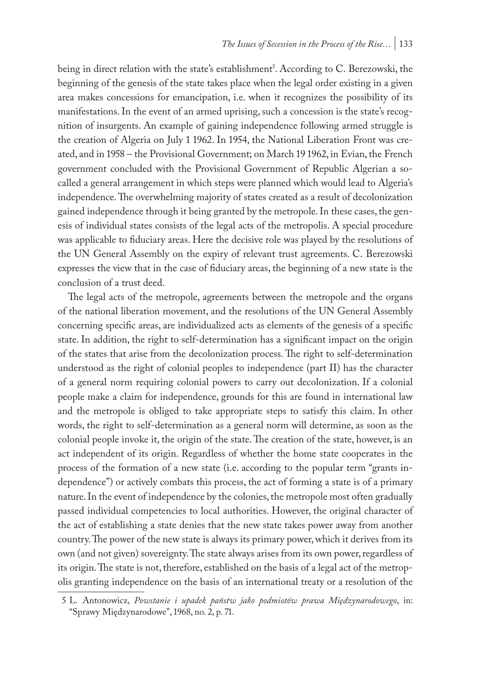being in direct relation with the state's establishment<sup>s</sup>. According to C. Berezowski, the beginning of the genesis of the state takes place when the legal order existing in a given area makes concessions for emancipation, i.e. when it recognizes the possibility of its manifestations. In the event of an armed uprising, such a concession is the state's recognition of insurgents. An example of gaining independence following armed struggle is the creation of Algeria on July 1 1962. In 1954, the National Liberation Front was created, and in 1958 – the Provisional Government; on March 19 1962, in Evian, the French government concluded with the Provisional Government of Republic Algerian a socalled a general arrangement in which steps were planned which would lead to Algeria's independence. The overwhelming majority of states created as a result of decolonization gained independence through it being granted by the metropole. In these cases, the genesis of individual states consists of the legal acts of the metropolis. A special procedure was applicable to fiduciary areas. Here the decisive role was played by the resolutions of the UN General Assembly on the expiry of relevant trust agreements. C. Berezowski expresses the view that in the case of fiduciary areas, the beginning of a new state is the conclusion of a trust deed.

The legal acts of the metropole, agreements between the metropole and the organs of the national liberation movement, and the resolutions of the UN General Assembly concerning specific areas, are individualized acts as elements of the genesis of a specific state. In addition, the right to self-determination has a significant impact on the origin of the states that arise from the decolonization process. The right to self-determination understood as the right of colonial peoples to independence (part II) has the character of a general norm requiring colonial powers to carry out decolonization. If a colonial people make a claim for independence, grounds for this are found in international law and the metropole is obliged to take appropriate steps to satisfy this claim. In other words, the right to self-determination as a general norm will determine, as soon as the colonial people invoke it, the origin of the state. The creation of the state, however, is an act independent of its origin. Regardless of whether the home state cooperates in the process of the formation of a new state (i.e. according to the popular term "grants independence") or actively combats this process, the act of forming a state is of a primary nature. In the event of independence by the colonies, the metropole most often gradually passed individual competencies to local authorities. However, the original character of the act of establishing a state denies that the new state takes power away from another country. The power of the new state is always its primary power, which it derives from its own (and not given) sovereignty. The state always arises from its own power, regardless of its origin. The state is not, therefore, established on the basis of a legal act of the metropolis granting independence on the basis of an international treaty or a resolution of the

<sup>5</sup> L. Antonowicz, *Powstanie i upadek państw jako podmiotów prawa Międzynarodowego*, in: "Sprawy Międzynarodowe", 1968, no. 2, p. 71.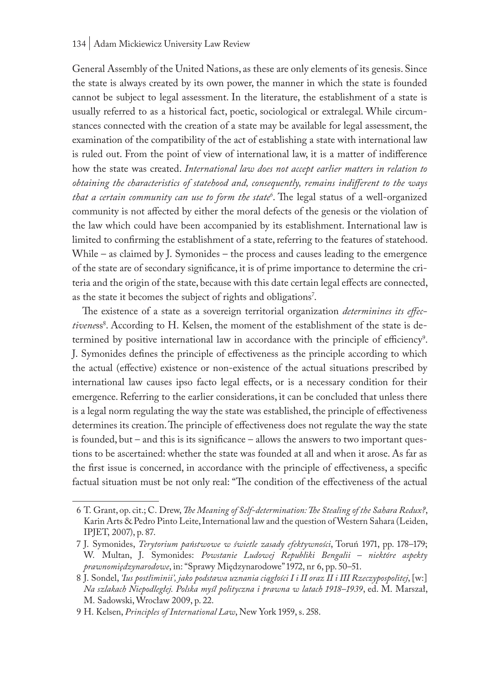General Assembly of the United Nations, as these are only elements of its genesis. Since the state is always created by its own power, the manner in which the state is founded cannot be subject to legal assessment. In the literature, the establishment of a state is usually referred to as a historical fact, poetic, sociological or extralegal. While circumstances connected with the creation of a state may be available for legal assessment, the examination of the compatibility of the act of establishing a state with international law is ruled out. From the point of view of international law, it is a matter of indifference how the state was created. *International law does not accept earlier matters in relation to obtaining the characteristics of statehood and, consequently, remains indifferent to the ways that a certain community can use to form the state6* . The legal status of a well-organized community is not affected by either the moral defects of the genesis or the violation of the law which could have been accompanied by its establishment. International law is limited to confirming the establishment of a state, referring to the features of statehood. While – as claimed by J. Symonides – the process and causes leading to the emergence of the state are of secondary significance, it is of prime importance to determine the criteria and the origin of the state, because with this date certain legal effects are connected, as the state it becomes the subject of rights and obligations<sup>7</sup>.

The existence of a state as a sovereign territorial organization *determinines its effec*tiveness<sup>8</sup>. According to H. Kelsen, the moment of the establishment of the state is determined by positive international law in accordance with the principle of efficiency<sup>9</sup>. J. Symonides defines the principle of effectiveness as the principle according to which the actual (effective) existence or non-existence of the actual situations prescribed by international law causes ipso facto legal effects, or is a necessary condition for their emergence. Referring to the earlier considerations, it can be concluded that unless there is a legal norm regulating the way the state was established, the principle of effectiveness determines its creation. The principle of effectiveness does not regulate the way the state is founded, but – and this is its significance – allows the answers to two important questions to be ascertained: whether the state was founded at all and when it arose. As far as the first issue is concerned, in accordance with the principle of effectiveness, a specific factual situation must be not only real: "The condition of the effectiveness of the actual

<sup>6</sup> T. Grant, op. cit.; C. Drew, *The Meaning of Self-determination: The Stealing of the Sahara Redux?*, Karin Arts & Pedro Pinto Leite, International law and the question of Western Sahara (Leiden, IPJET, 2007), p. 87.

<sup>7</sup> J. Symonides, *Terytorium państwowe w świetle zasady efektywności*, Toruń 1971, pp. 178–179; W. Multan, J. Symonides: *Powstanie Ludowej Republiki Bengalii – niektóre aspekty prawnomiędzynarodowe*, in: "Sprawy Międzynarodowe" 1972, nr 6, pp. 50–51.

<sup>8</sup> J. Sondel, *'Ius postliminii', jako podstawa uznania ciągłości I i II oraz II i III Rzeczypospolitej*, [w:] *Na szlakach Niepodległej. Polska myśl polityczna i prawna w latach 1918–1939*, ed. M. Marszał, M. Sadowski, Wrocław 2009, p. 22.

<sup>9</sup> H. Kelsen, *Principles of International Law*, New York 1959, s. 258.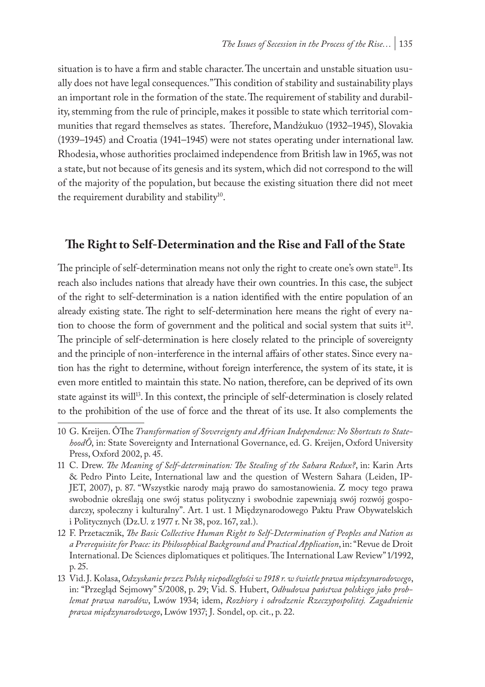situation is to have a firm and stable character. The uncertain and unstable situation usually does not have legal consequences." This condition of stability and sustainability plays an important role in the formation of the state. The requirement of stability and durability, stemming from the rule of principle, makes it possible to state which territorial communities that regard themselves as states. Therefore, Mandżukuo (1932–1945), Slovakia (1939–1945) and Croatia (1941–1945) were not states operating under international law. Rhodesia, whose authorities proclaimed independence from British law in 1965, was not a state, but not because of its genesis and its system, which did not correspond to the will of the majority of the population, but because the existing situation there did not meet the requirement durability and stability<sup>10</sup>.

## **The Right to Self-Determination and the Rise and Fall of the State**

The principle of self-determination means not only the right to create one's own state<sup>11</sup>. Its reach also includes nations that already have their own countries. In this case, the subject of the right to self-determination is a nation identified with the entire population of an already existing state. The right to self-determination here means the right of every nation to choose the form of government and the political and social system that suits  $it^{12}$ . The principle of self-determination is here closely related to the principle of sovereignty and the principle of non-interference in the internal affairs of other states. Since every nation has the right to determine, without foreign interference, the system of its state, it is even more entitled to maintain this state. No nation, therefore, can be deprived of its own state against its will<sup>13</sup>. In this context, the principle of self-determination is closely related to the prohibition of the use of force and the threat of its use. It also complements the

<sup>10</sup> G. Kreijen. ÔThe *Transformation of Sovereignty and African Independence: No Shortcuts to StatehoodÕ*, in: State Sovereignty and International Governance, ed. G. Kreijen, Oxford University Press, Oxford 2002, p. 45.

<sup>11</sup> C. Drew. *The Meaning of Self-determination: The Stealing of the Sahara Redux?*, in: Karin Arts & Pedro Pinto Leite, International law and the question of Western Sahara (Leiden, IP-JET, 2007), p. 87. "Wszystkie narody mają prawo do samostanowienia. Z mocy tego prawa swobodnie określają one swój status polityczny i swobodnie zapewniają swój rozwój gospodarczy, społeczny i kulturalny". Art. 1 ust. 1 Międzynarodowego Paktu Praw Obywatelskich i Politycznych (Dz.U. z 1977 r. Nr 38, poz. 167, zał.).

<sup>12</sup> F. Przetacznik, *The Basic Collective Human Right to Self-Determination of Peoples and Nation as a Prerequisite for Peace: its Philosophical Background and Practical Application*, in: "Revue de Droit International. De Sciences diplomatiques et politiques. The International Law Review" 1/1992, p. 25.

<sup>13</sup> Vid. J. Kolasa, *Odzyskanie przez Polskę niepodległości w 1918 r. w świetle prawa międzynarodowego*, in: "Przegląd Sejmowy" 5/2008, p. 29; Vid. S. Hubert, *Odbudowa państwa polskiego jako problemat prawa narodów*, Lwów 1934; idem, *Rozbiory i odrodzenie Rzeczypospolitej. Zagadnienie prawa międzynarodowego*, Lwów 1937; J. Sondel, op. cit., p. 22.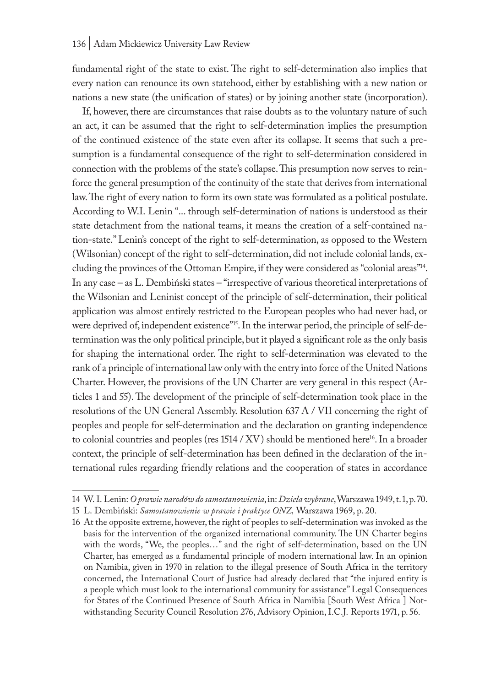fundamental right of the state to exist. The right to self-determination also implies that every nation can renounce its own statehood, either by establishing with a new nation or nations a new state (the unification of states) or by joining another state (incorporation).

If, however, there are circumstances that raise doubts as to the voluntary nature of such an act, it can be assumed that the right to self-determination implies the presumption of the continued existence of the state even after its collapse. It seems that such a presumption is a fundamental consequence of the right to self-determination considered in connection with the problems of the state's collapse. This presumption now serves to reinforce the general presumption of the continuity of the state that derives from international law. The right of every nation to form its own state was formulated as a political postulate. According to W.I. Lenin "... through self-determination of nations is understood as their state detachment from the national teams, it means the creation of a self-contained nation-state." Lenin's concept of the right to self-determination, as opposed to the Western (Wilsonian) concept of the right to self-determination, did not include colonial lands, excluding the provinces of the Ottoman Empire, if they were considered as "colonial areas"14. In any case – as L. Dembiński states – "irrespective of various theoretical interpretations of the Wilsonian and Leninist concept of the principle of self-determination, their political application was almost entirely restricted to the European peoples who had never had, or were deprived of, independent existence"<sup>15</sup>. In the interwar period, the principle of self-determination was the only political principle, but it played a significant role as the only basis for shaping the international order. The right to self-determination was elevated to the rank of a principle of international law only with the entry into force of the United Nations Charter. However, the provisions of the UN Charter are very general in this respect (Articles 1 and 55). The development of the principle of self-determination took place in the resolutions of the UN General Assembly. Resolution 637 A / VII concerning the right of peoples and people for self-determination and the declaration on granting independence to colonial countries and peoples (res  $1514 / XV$ ) should be mentioned here<sup>16</sup>. In a broader context, the principle of self-determination has been defined in the declaration of the international rules regarding friendly relations and the cooperation of states in accordance

<sup>14</sup> W. I. Lenin: *O prawie narodów do samostanowienia*, in: *Dzieła wybrane*, Warszawa 1949, t. 1, p. 70.

<sup>15</sup> L. Dembiński: *Samostanowienie w prawie i praktyce ONZ,* Warszawa 1969, p. 20.

<sup>16</sup> At the opposite extreme, however, the right of peoples to self-determination was invoked as the basis for the intervention of the organized international community. The UN Charter begins with the words, "We, the peoples…" and the right of self-determination, based on the UN Charter, has emerged as a fundamental principle of modern international law. In an opinion on Namibia, given in 1970 in relation to the illegal presence of South Africa in the territory concerned, the International Court of Justice had already declared that "the injured entity is a people which must look to the international community for assistance" Legal Consequences for States of the Continued Presence of South Africa in Namibia [South West Africa ] Notwithstanding Security Council Resolution 276, Advisory Opinion, I.C.J. Reports 1971, p. 56.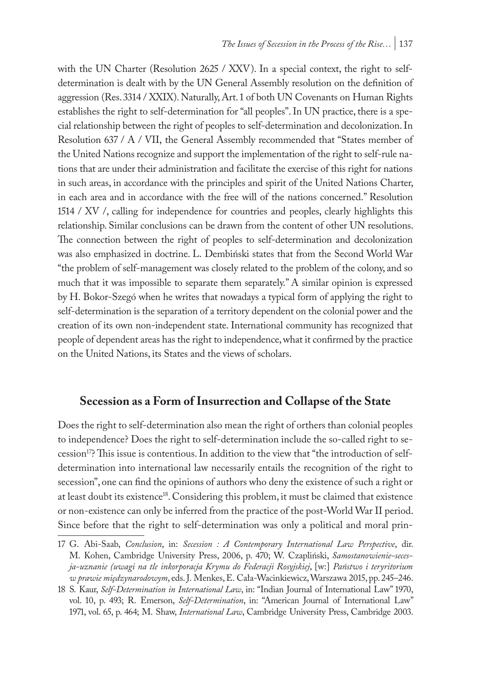with the UN Charter (Resolution 2625 / XXV). In a special context, the right to selfdetermination is dealt with by the UN General Assembly resolution on the definition of aggression (Res. 3314 / XXIX). Naturally, Art. 1 of both UN Covenants on Human Rights establishes the right to self-determination for "all peoples". In UN practice, there is a special relationship between the right of peoples to self-determination and decolonization. In Resolution 637 / A / VII, the General Assembly recommended that "States member of the United Nations recognize and support the implementation of the right to self-rule nations that are under their administration and facilitate the exercise of this right for nations in such areas, in accordance with the principles and spirit of the United Nations Charter, in each area and in accordance with the free will of the nations concerned." Resolution 1514 / XV /, calling for independence for countries and peoples, clearly highlights this relationship. Similar conclusions can be drawn from the content of other UN resolutions. The connection between the right of peoples to self-determination and decolonization was also emphasized in doctrine. L. Dembiński states that from the Second World War "the problem of self-management was closely related to the problem of the colony, and so much that it was impossible to separate them separately." A similar opinion is expressed by H. Bokor-Szegó when he writes that nowadays a typical form of applying the right to self-determination is the separation of a territory dependent on the colonial power and the creation of its own non-independent state. International community has recognized that people of dependent areas has the right to independence, what it confirmed by the practice on the United Nations, its States and the views of scholars.

## **Secession as a Form of Insurrection and Collapse of the State**

Does the right to self-determination also mean the right of orthers than colonial peoples to independence? Does the right to self-determination include the so-called right to secession17? This issue is contentious. In addition to the view that "the introduction of selfdetermination into international law necessarily entails the recognition of the right to secession", one can find the opinions of authors who deny the existence of such a right or at least doubt its existence<sup>18</sup>. Considering this problem, it must be claimed that existence or non-existence can only be inferred from the practice of the post-World War II period. Since before that the right to self-determination was only a political and moral prin-

<sup>17</sup> G. Abi-Saab, *Conclusion*, in: *Secession : A Contemporary International Law Perspective*, dir. M. Kohen, Cambridge University Press, 2006, p. 470; W. Czapliński, *Samostanowienie-secesja-uznanie (uwagi na tle inkorporacja Krymu do Federacji Rosyjskiej*, [w:] *Państwo i teryritorium w prawie międzynarodowym*, eds. J. Menkes, E. Cała-Wacinkiewicz, Warszawa 2015, pp. 245–246.

<sup>18</sup> S. Kaur, *Self-Determination in International Law*, in: "Indian Journal of International Law" 1970, vol. 10, p. 493; R. Emerson, *Self-Determination*, in: "American Journal of International Law" 1971, vol. 65, p. 464; M. Shaw, *International Law*, Cambridge University Press, Cambridge 2003.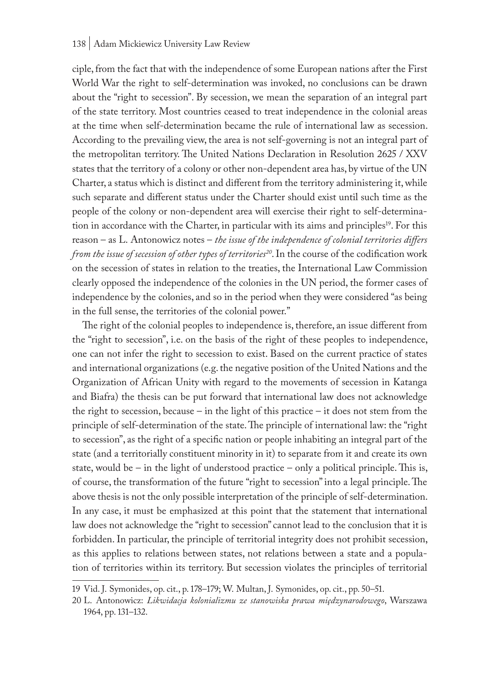ciple, from the fact that with the independence of some European nations after the First World War the right to self-determination was invoked, no conclusions can be drawn about the "right to secession". By secession, we mean the separation of an integral part of the state territory. Most countries ceased to treat independence in the colonial areas at the time when self-determination became the rule of international law as secession. According to the prevailing view, the area is not self-governing is not an integral part of the metropolitan territory. The United Nations Declaration in Resolution 2625 / XXV states that the territory of a colony or other non-dependent area has, by virtue of the UN Charter, a status which is distinct and different from the territory administering it, while such separate and different status under the Charter should exist until such time as the people of the colony or non-dependent area will exercise their right to self-determination in accordance with the Charter, in particular with its aims and principles<sup>19</sup>. For this reason – as L. Antonowicz notes – *the issue of the independence of colonial territories differs from the issue of secession of other types of territories*<sup>20</sup>. In the course of the codification work on the secession of states in relation to the treaties, the International Law Commission clearly opposed the independence of the colonies in the UN period, the former cases of independence by the colonies, and so in the period when they were considered "as being in the full sense, the territories of the colonial power."

The right of the colonial peoples to independence is, therefore, an issue different from the "right to secession", i.e. on the basis of the right of these peoples to independence, one can not infer the right to secession to exist. Based on the current practice of states and international organizations (e.g. the negative position of the United Nations and the Organization of African Unity with regard to the movements of secession in Katanga and Biafra) the thesis can be put forward that international law does not acknowledge the right to secession, because – in the light of this practice – it does not stem from the principle of self-determination of the state. The principle of international law: the "right to secession", as the right of a specific nation or people inhabiting an integral part of the state (and a territorially constituent minority in it) to separate from it and create its own state, would be – in the light of understood practice – only a political principle. This is, of course, the transformation of the future "right to secession" into a legal principle. The above thesis is not the only possible interpretation of the principle of self-determination. In any case, it must be emphasized at this point that the statement that international law does not acknowledge the "right to secession" cannot lead to the conclusion that it is forbidden. In particular, the principle of territorial integrity does not prohibit secession, as this applies to relations between states, not relations between a state and a population of territories within its territory. But secession violates the principles of territorial

<sup>19</sup> Vid. J. Symonides, op. cit., p. 178–179; W. Multan, J. Symonides, op. cit., pp. 50–51.

<sup>20</sup> L. Antonowicz: *Likwidacja kolonializmu ze stanowiska prawa międzynarodowego*, Warszawa 1964, pp. 131–132.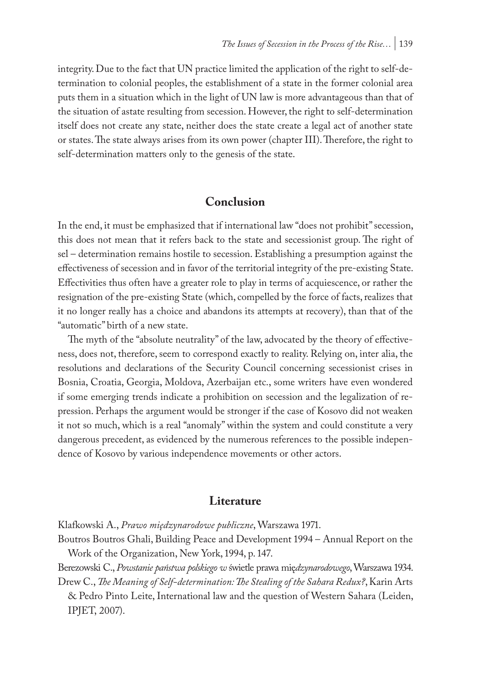integrity. Due to the fact that UN practice limited the application of the right to self-determination to colonial peoples, the establishment of a state in the former colonial area puts them in a situation which in the light of UN law is more advantageous than that of the situation of astate resulting from secession. However, the right to self-determination itself does not create any state, neither does the state create a legal act of another state or states. The state always arises from its own power (chapter III). Therefore, the right to self-determination matters only to the genesis of the state.

#### **Conclusion**

In the end, it must be emphasized that if international law "does not prohibit" secession, this does not mean that it refers back to the state and secessionist group. The right of sel – determination remains hostile to secession. Establishing a presumption against the effectiveness of secession and in favor of the territorial integrity of the pre-existing State. Effectivities thus often have a greater role to play in terms of acquiescence, or rather the resignation of the pre-existing State (which, compelled by the force of facts, realizes that it no longer really has a choice and abandons its attempts at recovery), than that of the "automatic" birth of a new state.

The myth of the "absolute neutrality" of the law, advocated by the theory of effectiveness, does not, therefore, seem to correspond exactly to reality. Relying on, inter alia, the resolutions and declarations of the Security Council concerning secessionist crises in Bosnia, Croatia, Georgia, Moldova, Azerbaijan etc., some writers have even wondered if some emerging trends indicate a prohibition on secession and the legalization of repression. Perhaps the argument would be stronger if the case of Kosovo did not weaken it not so much, which is a real "anomaly" within the system and could constitute a very dangerous precedent, as evidenced by the numerous references to the possible independence of Kosovo by various independence movements or other actors.

#### **Literature**

Klafkowski A., *Prawo międzynarodowe publiczne*, Warszawa 1971.

Boutros Boutros Ghali, Building Peace and Development 1994 – Annual Report on the Work of the Organization, New York, 1994, p. 147.

Berezowski C., *Powstanie państwa polskiego w* świetle prawa mię*dzynarodowego*, Warszawa 1934.

Drew C., *The Meaning of Self-determination: The Stealing of the Sahara Redux?*, Karin Arts & Pedro Pinto Leite, International law and the question of Western Sahara (Leiden, IPJET, 2007).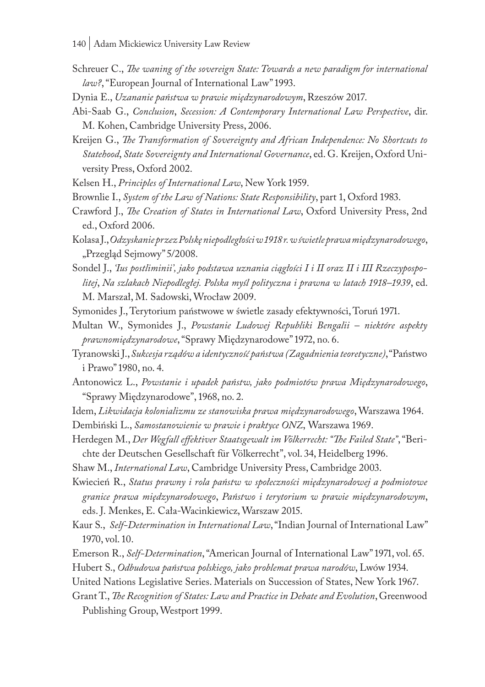- Schreuer C., *The waning of the sovereign State: Towards a new paradigm for international law?*, "European Journal of International Law" 1993.
- Dynia E., *Uzananie państwa w prawie międzynarodowym*, Rzeszów 2017.
- Abi-Saab G., *Conclusion*, *Secession: A Contemporary International Law Perspective*, dir. M. Kohen, Cambridge University Press, 2006.
- Kreijen G., *The Transformation of Sovereignty and African Independence: No Shortcuts to Statehood*, *State Sovereignty and International Governance*, ed. G. Kreijen, Oxford University Press, Oxford 2002.
- Kelsen H., *Principles of International Law*, New York 1959.
- Brownlie I., *System of the Law of Nations: State Responsibility*, part 1, Oxford 1983.
- Crawford J., *The Creation of States in International Law*, Oxford University Press, 2nd ed., Oxford 2006.
- Kolasa J., *Odzyskanie przez Polskę niepodległości w 1918 r. w świetle prawa międzynarodowego*, "Przegląd Sejmowy" 5/2008.
- Sondel J., *'Ius postliminii', jako podstawa uznania ciągłości I i II oraz II i III Rzeczypospolitej*, *Na szlakach Niepodległej. Polska myśl polityczna i prawna w latach 1918–1939*, ed. M. Marszał, M. Sadowski, Wrocław 2009.
- Symonides J., Terytorium państwowe w świetle zasady efektywności, Toruń 1971.
- Multan W., Symonides J., *Powstanie Ludowej Republiki Bengalii niektóre aspekty prawnomiędzynarodowe*, "Sprawy Międzynarodowe" 1972, no. 6.
- Tyranowski J., *Sukcesja rządów a identyczność państwa (Zagadnienia teoretyczne)*, "Państwo i Prawo" 1980, no. 4.
- Antonowicz L., *Powstanie i upadek państw, jako podmiotów prawa Międzynarodowego*, "Sprawy Międzynarodowe", 1968, no. 2.
- Idem, *Likwidacja kolonializmu ze stanowiska prawa międzynarodowego*, Warszawa 1964.
- Dembiński L., *Samostanowienie w prawie i praktyce ONZ*, Warszawa 1969.
- Herdegen M., *Der Wegfall effektiver Staatsgewalt im Völkerrecht: "The Failed State"*, "Berichte der Deutschen Gesellschaft für Völkerrecht", vol. 34, Heidelberg 1996.
- Shaw M., *International Law*, Cambridge University Press, Cambridge 2003.
- Kwiecień R., *Status prawny i rola państw w społeczności międzynarodowej a podmiotowe granice prawa międzynarodowego*, *Państwo i terytorium w prawie międzynarodowym*, eds. J. Menkes, E. Cała-Wacinkiewicz, Warszaw 2015.
- Kaur S., *Self-Determination in International Law*, "Indian Journal of International Law" 1970, vol. 10.
- Emerson R., *Self-Determination*, "American Journal of International Law" 1971, vol. 65.
- Hubert S., *Odbudowa państwa polskiego, jako problemat prawa narodów*, Lwów 1934.
- United Nations Legislative Series. Materials on Succession of States, New York 1967.
- Grant T., *The Recognition of States: Law and Practice in Debate and Evolution*, Greenwood Publishing Group, Westport 1999.